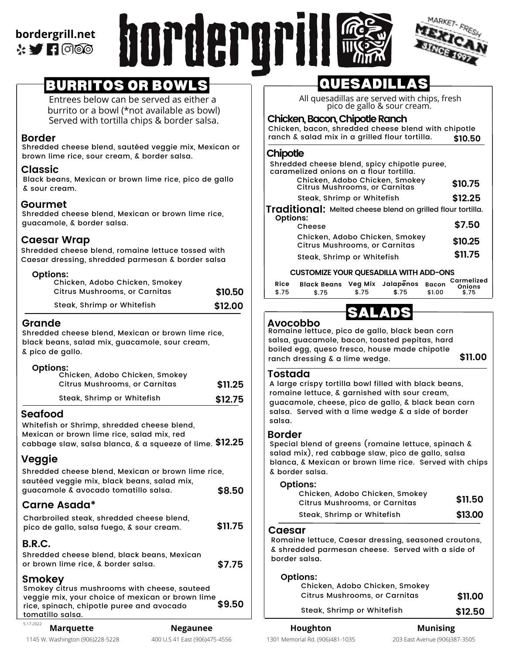**bordergrill.net**  $\cdot$   $\blacksquare$  (  $\circ$   $\circ$ 





# BURRITOS OR BOWLS

Entrees below can be served as either a burrito or a bowl (\*not available as bowl) Served with tortilla chips & border salsa.

## **Border**

Shredded cheese blend, sautéed veggie mix, Mexican or brown lime rice, sour cream, & border salsa.

## **Classic**

Black beans, Mexican or brown lime rice, pico de gallo & sour cream.

## **Gourmet**

Shredded cheese blend, Mexican or brown lime rice, guacamole, & border salsa.

## **Caesar Wrap**

Shredded cheese blend, romaine lettuce tossed with Caesar dressing, shredded parmesan & border salsa

#### **Options:**

| Chicken, Adobo Chicken, Smokey<br>Citrus Mushrooms, or Carnitas | \$10.50 |
|-----------------------------------------------------------------|---------|
| Steak, Shrimp or Whitefish                                      | \$12.00 |

## **Grande**

Shredded cheese blend, Mexican or brown lime rice, black beans, salad mix, guacamole, sour cream, & pico de gallo.

#### **Options:**

| Chicken, Adobo Chicken, Smokey<br>Citrus Mushrooms, or Carnitas | \$11.25 |
|-----------------------------------------------------------------|---------|
| Steak, Shrimp or Whitefish                                      | \$12.75 |

## **Seafood**

Whitefish or Shrimp, shredded cheese blend, Mexican or brown lime rice, salad mix, red cabbage slaw, salsa blanca, & a squeeze of lime. **\$12.25**

## **Veggie**

| Shredded cheese blend, Mexican or brown lime rice,                                                                                                      |         |
|---------------------------------------------------------------------------------------------------------------------------------------------------------|---------|
| sautéed veggie mix, black beans, salad mix,<br>guacamole & avocado tomatillo salsa.                                                                     | \$8.50  |
| Carne Asada*                                                                                                                                            |         |
| Charbroiled steak, shredded cheese blend,<br>pico de gallo, salsa fuego, & sour cream.                                                                  | \$11.75 |
| <b>B.R.C.</b><br>Shredded cheese blend, black beans, Mexican<br>or brown lime rice, & border salsa.                                                     | \$7.75  |
| Smokey<br>Smokey citrus mushrooms with cheese, sauteed<br>veggie mix, your choice of mexican or brown lime<br>rice, spinach, chipotle puree and avocado | \$9.50  |

# QUESADILLAS

All quesadillas are served with chips, fresh pico de gallo & sour cream.

## **Chicken,Bacon,ChipotleRanch**

Chicken, bacon, shredded cheese blend with chipotle ranch  $\&$  salad mix in a grilled flour tortilla.  $$10.50$ ranch & salad mix in a grilled flour tortilla.

## **Chipotle**

| Shredded cheese blend, spicy chipotle puree,<br>caramelized onions on a flour tortilla. |         |
|-----------------------------------------------------------------------------------------|---------|
| Chicken, Adobo Chicken, Smokey<br>Citrus Mushrooms, or Carnitas                         | \$10.75 |
| Steak, Shrimp or Whitefish                                                              | \$12.25 |
| <b>Traditional:</b> Melted cheese blend on grilled flour tortilla.                      |         |
| <b>Options:</b><br>Cheese                                                               | \$7.50  |
| Chicken, Adobo Chicken, Smokey<br>Citrus Mushrooms, or Carnitas                         | \$10.25 |
| Steak, Shrimp or Whitefish                                                              | \$11.75 |
| <b>CUSTOMIZE YOUR OUESADILLA WITH ADD-ONS</b>                                           |         |

| Rice<br>\$.75 | Black Beans Veg Mix Jalapenos Bacon<br>\$.75 | \$.75 | \$.75 | \$1.00 | Carmelized<br>Onions<br>\$.75 |
|---------------|----------------------------------------------|-------|-------|--------|-------------------------------|
|---------------|----------------------------------------------|-------|-------|--------|-------------------------------|

SALADS

# **Avocobbo**

Romaine lettuce, pico de gallo, black bean corn salsa, guacamole, bacon, toasted pepitas, hard boiled egg, queso fresco, house made chipotle ranch dressing & a lime wedge. **\$11.00**

## **Tostada**

A large crispy tortilla bowl filled with black beans, romaine lettuce, & garnished with sour cream, guacamole, cheese, pico de gallo, & black bean corn salsa. Served with a lime wedge & a side of border salsa.

## **Border**

Special blend of greens (romaine lettuce, spinach & salad mix), red cabbage slaw, pico de gallo, salsa blanca, & Mexican or brown lime rice. Served with chips & border salsa.

#### **Options:**

| - <b>-</b> -- - - - - -<br>Chicken, Adobo Chicken, Smokey<br>Citrus Mushrooms, or Carnitas | \$11.50 |
|--------------------------------------------------------------------------------------------|---------|
| Steak, Shrimp or Whitefish                                                                 | \$13.00 |

## **Caesar**

Romaine lettuce, Caesar dressing, seasoned croutons, & shredded parmesan cheese. Served with a side of border salsa.

#### **Options:**

| Chicken, Adobo Chicken, Smokey<br>Citrus Mushrooms, or Carnitas | \$11.00 |
|-----------------------------------------------------------------|---------|

5.17.2022

tomatillo salsa.